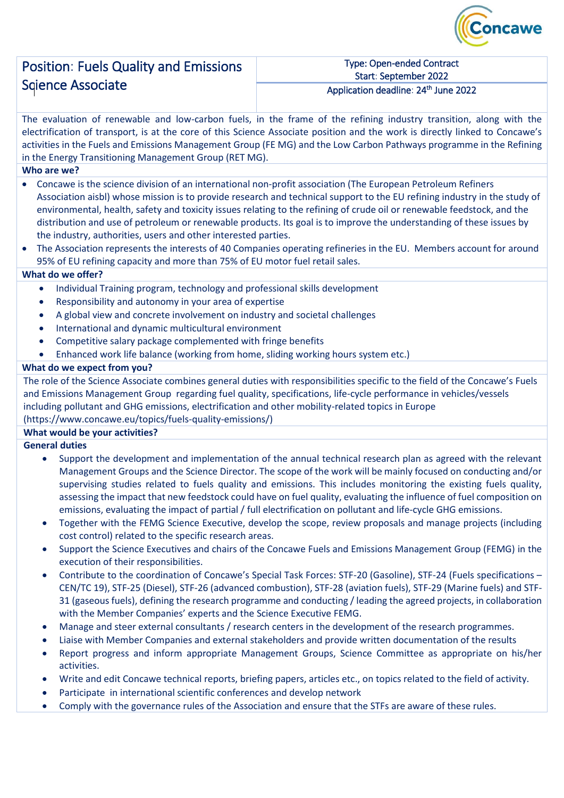

## Position: Fuels Quality and Emissions Sqience Associate

#### Type: Open-ended Contract Start: September 2022 Application deadline: 24<sup>th</sup> June 2022

The evaluation of renewable and low-carbon fuels, in the frame of the refining industry transition, along with the electrification of transport, is at the core of this Science Associate position and the work is directly linked to Concawe's activities in the Fuels and Emissions Management Group (FE MG) and the Low Carbon Pathways programme in the Refining in the Energy Transitioning Management Group (RET MG).

## **Who are we?**

- Concawe is the science division of an international non-profit association (The European Petroleum Refiners Association aisbl) whose mission is to provide research and technical support to the EU refining industry in the study of environmental, health, safety and toxicity issues relating to the refining of crude oil or renewable feedstock, and the distribution and use of petroleum or renewable products. Its goal is to improve the understanding of these issues by the industry, authorities, users and other interested parties.
- The Association represents the interests of 40 Companies operating refineries in the EU. Members account for around 95% of EU refining capacity and more than 75% of EU motor fuel retail sales.

## **What do we offer?**

- Individual Training program, technology and professional skills development
- Responsibility and autonomy in your area of expertise
- A global view and concrete involvement on industry and societal challenges
- International and dynamic multicultural environment
- Competitive salary package complemented with fringe benefits
- Enhanced work life balance (working from home, sliding working hours system etc.)

## **What do we expect from you?**

The role of the Science Associate combines general duties with responsibilities specific to the field of the Concawe's Fuels and Emissions Management Group regarding fuel quality, specifications, life-cycle performance in vehicles/vessels including pollutant and GHG emissions, electrification and other mobility-related topics in Europe (https://www.concawe.eu/topics/fuels-quality-emissions/)

## **What would be your activities?**

## **General duties**

- Support the development and implementation of the annual technical research plan as agreed with the relevant Management Groups and the Science Director. The scope of the work will be mainly focused on conducting and/or supervising studies related to fuels quality and emissions. This includes monitoring the existing fuels quality, assessing the impact that new feedstock could have on fuel quality, evaluating the influence of fuel composition on emissions, evaluating the impact of partial / full electrification on pollutant and life-cycle GHG emissions.
- Together with the FEMG Science Executive, develop the scope, review proposals and manage projects (including cost control) related to the specific research areas.
- Support the Science Executives and chairs of the Concawe Fuels and Emissions Management Group (FEMG) in the execution of their responsibilities.
- Contribute to the coordination of Concawe's Special Task Forces: STF-20 (Gasoline), STF-24 (Fuels specifications CEN/TC 19), STF-25 (Diesel), STF-26 (advanced combustion), STF-28 (aviation fuels), STF-29 (Marine fuels) and STF-31 (gaseous fuels), defining the research programme and conducting / leading the agreed projects, in collaboration with the Member Companies' experts and the Science Executive FEMG.
- Manage and steer external consultants / research centers in the development of the research programmes.
- Liaise with Member Companies and external stakeholders and provide written documentation of the results
- Report progress and inform appropriate Management Groups, Science Committee as appropriate on his/her activities.
- Write and edit Concawe technical reports, briefing papers, articles etc., on topics related to the field of activity.
- Participate in international scientific conferences and develop network
- Comply with the governance rules of the Association and ensure that the STFs are aware of these rules.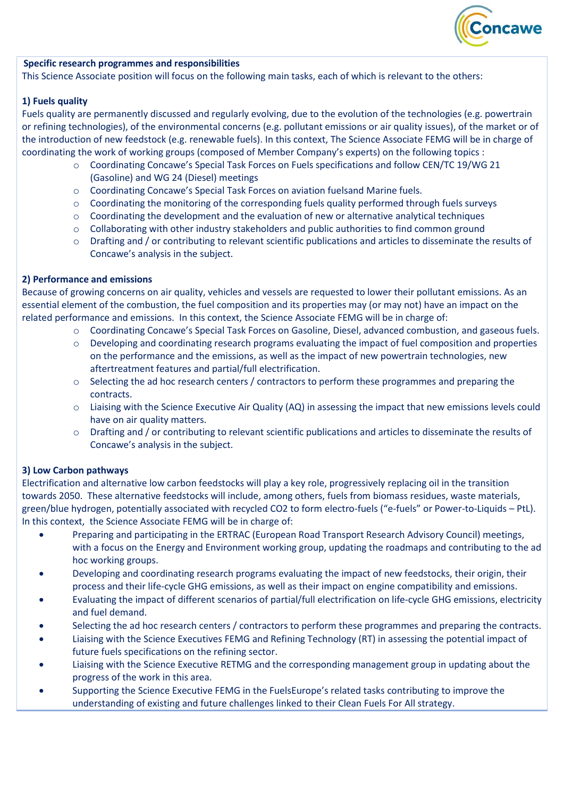

#### **Specific research programmes and responsibilities**

This Science Associate position will focus on the following main tasks, each of which is relevant to the others:

#### **1) Fuels quality**

Fuels quality are permanently discussed and regularly evolving, due to the evolution of the technologies (e.g. powertrain or refining technologies), of the environmental concerns (e.g. pollutant emissions or air quality issues), of the market or of the introduction of new feedstock (e.g. renewable fuels). In this context, The Science Associate FEMG will be in charge of coordinating the work of working groups (composed of Member Company's experts) on the following topics :

- o Coordinating Concawe's Special Task Forces on Fuels specifications and follow CEN/TC 19/WG 21 (Gasoline) and WG 24 (Diesel) meetings
- o Coordinating Concawe's Special Task Forces on aviation fuelsand Marine fuels.
- $\circ$  Coordinating the monitoring of the corresponding fuels quality performed through fuels surveys
- $\circ$  Coordinating the development and the evaluation of new or alternative analytical techniques
- $\circ$  Collaborating with other industry stakeholders and public authorities to find common ground
- o Drafting and / or contributing to relevant scientific publications and articles to disseminate the results of Concawe's analysis in the subject.

#### **2) Performance and emissions**

Because of growing concerns on air quality, vehicles and vessels are requested to lower their pollutant emissions. As an essential element of the combustion, the fuel composition and its properties may (or may not) have an impact on the related performance and emissions. In this context, the Science Associate FEMG will be in charge of:

- o Coordinating Concawe's Special Task Forces on Gasoline, Diesel, advanced combustion, and gaseous fuels.
- o Developing and coordinating research programs evaluating the impact of fuel composition and properties on the performance and the emissions, as well as the impact of new powertrain technologies, new aftertreatment features and partial/full electrification.
- o Selecting the ad hoc research centers / contractors to perform these programmes and preparing the contracts.
- o Liaising with the Science Executive Air Quality (AQ) in assessing the impact that new emissions levels could have on air quality matters.
- o Drafting and / or contributing to relevant scientific publications and articles to disseminate the results of Concawe's analysis in the subject.

#### **3) Low Carbon pathways**

Electrification and alternative low carbon feedstocks will play a key role, progressively replacing oil in the transition towards 2050. These alternative feedstocks will include, among others, fuels from biomass residues, waste materials, green/blue hydrogen, potentially associated with recycled CO2 to form electro-fuels ("e-fuels" or Power-to-Liquids – PtL). In this context, the Science Associate FEMG will be in charge of:

- Preparing and participating in the ERTRAC (European Road Transport Research Advisory Council) meetings, with a focus on the Energy and Environment working group, updating the roadmaps and contributing to the ad hoc working groups.
- Developing and coordinating research programs evaluating the impact of new feedstocks, their origin, their process and their life-cycle GHG emissions, as well as their impact on engine compatibility and emissions.
- Evaluating the impact of different scenarios of partial/full electrification on life-cycle GHG emissions, electricity and fuel demand.
- Selecting the ad hoc research centers / contractors to perform these programmes and preparing the contracts.
- Liaising with the Science Executives FEMG and Refining Technology (RT) in assessing the potential impact of future fuels specifications on the refining sector.
- Liaising with the Science Executive RETMG and the corresponding management group in updating about the progress of the work in this area.
- Supporting the Science Executive FEMG in the FuelsEurope's related tasks contributing to improve the understanding of existing and future challenges linked to their Clean Fuels For All strategy.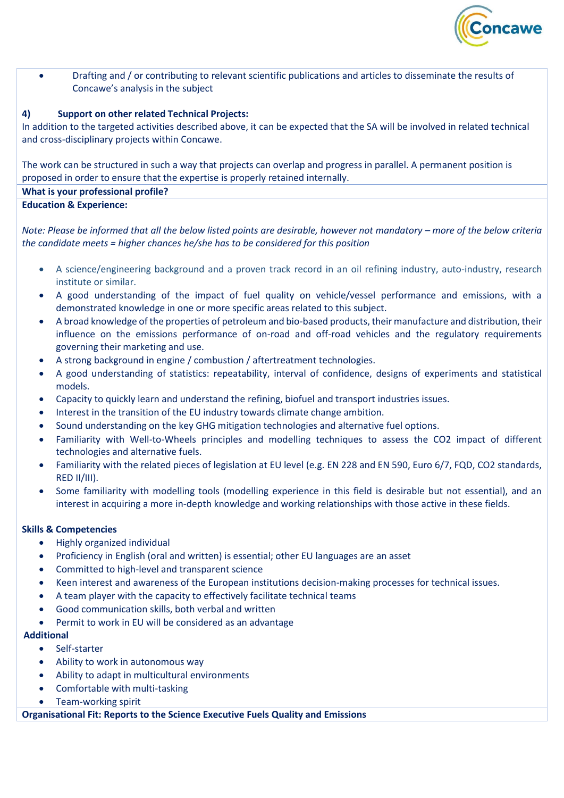

• Drafting and / or contributing to relevant scientific publications and articles to disseminate the results of Concawe's analysis in the subject

#### **4) Support on other related Technical Projects:**

In addition to the targeted activities described above, it can be expected that the SA will be involved in related technical and cross-disciplinary projects within Concawe.

The work can be structured in such a way that projects can overlap and progress in parallel. A permanent position is proposed in order to ensure that the expertise is properly retained internally.

# **What is your professional profile?**

**Education & Experience:** 

*Note: Please be informed that all the below listed points are desirable, however not mandatory – more of the below criteria the candidate meets = higher chances he/she has to be considered for this position*

- A science/engineering background and a proven track record in an oil refining industry, auto-industry, research institute or similar.
- A good understanding of the impact of fuel quality on vehicle/vessel performance and emissions, with a demonstrated knowledge in one or more specific areas related to this subject.
- A broad knowledge of the properties of petroleum and bio-based products, their manufacture and distribution, their influence on the emissions performance of on-road and off-road vehicles and the regulatory requirements governing their marketing and use.
- A strong background in engine / combustion / aftertreatment technologies.
- A good understanding of statistics: repeatability, interval of confidence, designs of experiments and statistical models.
- Capacity to quickly learn and understand the refining, biofuel and transport industries issues.
- Interest in the transition of the EU industry towards climate change ambition.
- Sound understanding on the key GHG mitigation technologies and alternative fuel options.
- Familiarity with Well-to-Wheels principles and modelling techniques to assess the CO2 impact of different technologies and alternative fuels.
- Familiarity with the related pieces of legislation at EU level (e.g. EN 228 and EN 590, Euro 6/7, FQD, CO2 standards, RED II/III).
- Some familiarity with modelling tools (modelling experience in this field is desirable but not essential), and an interest in acquiring a more in-depth knowledge and working relationships with those active in these fields.

#### **Skills & Competencies**

- Highly organized individual
- Proficiency in English (oral and written) is essential; other EU languages are an asset
- Committed to high-level and transparent science
- Keen interest and awareness of the European institutions decision-making processes for technical issues.
- A team player with the capacity to effectively facilitate technical teams
- Good communication skills, both verbal and written
- Permit to work in EU will be considered as an advantage

#### **Additional**

- Self-starter
- Ability to work in autonomous way
- Ability to adapt in multicultural environments
- Comfortable with multi-tasking
- Team-working spirit

**Organisational Fit: Reports to the Science Executive Fuels Quality and Emissions**